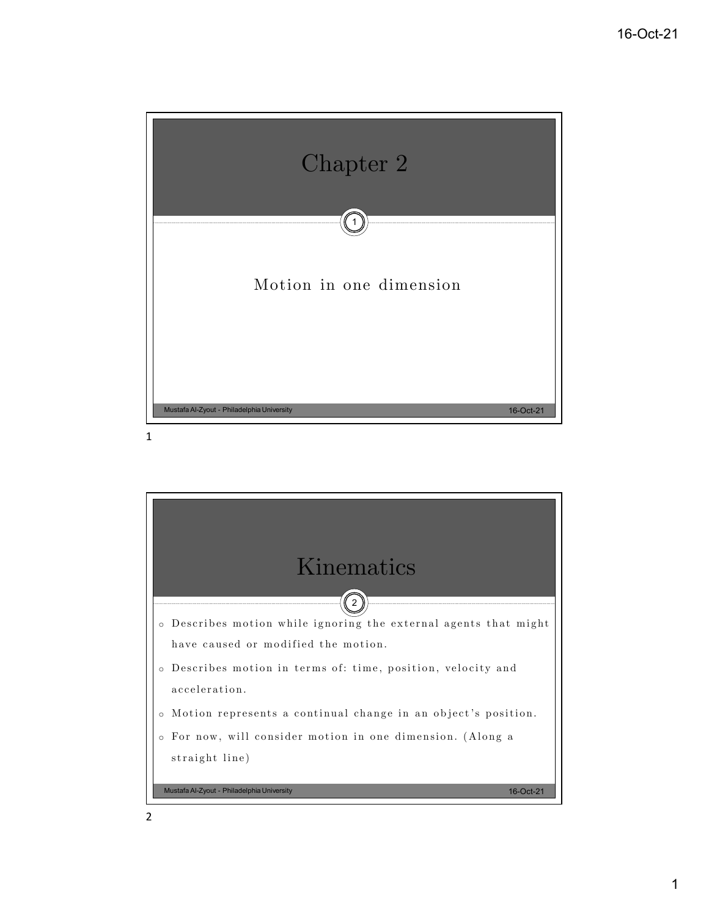

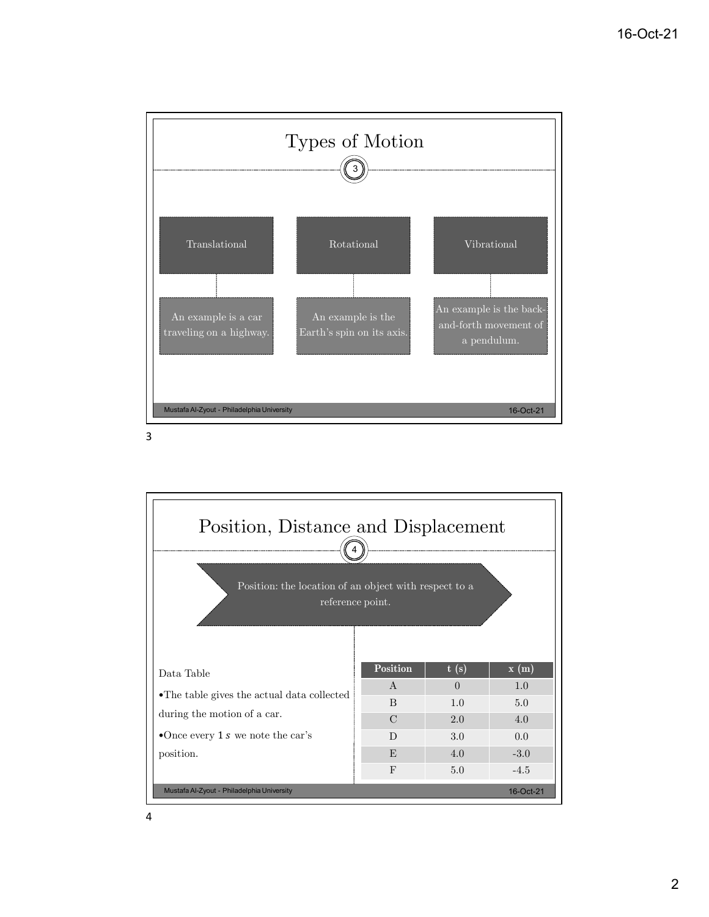

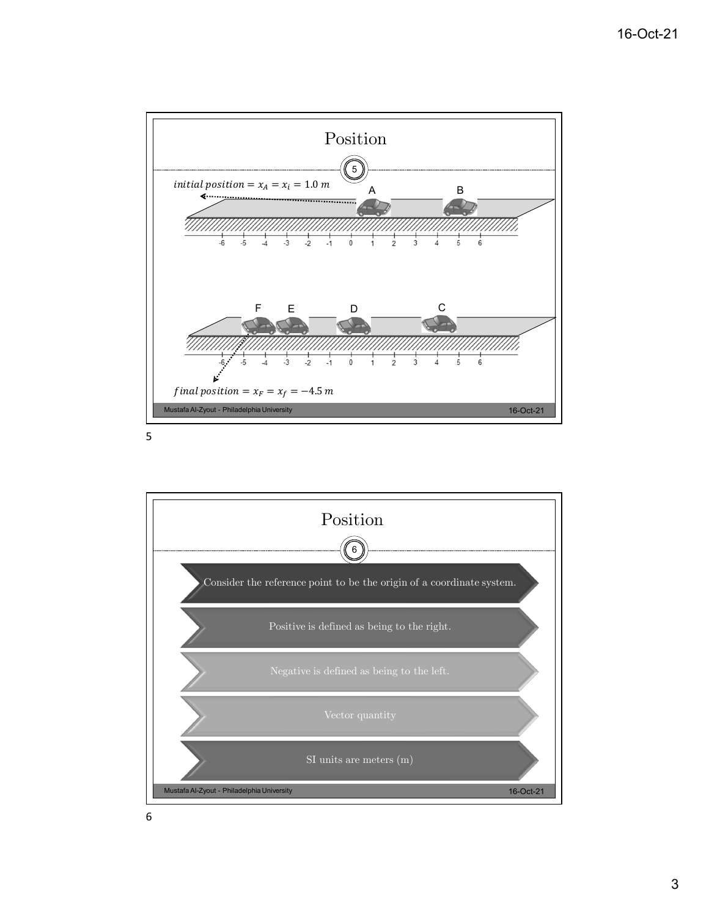

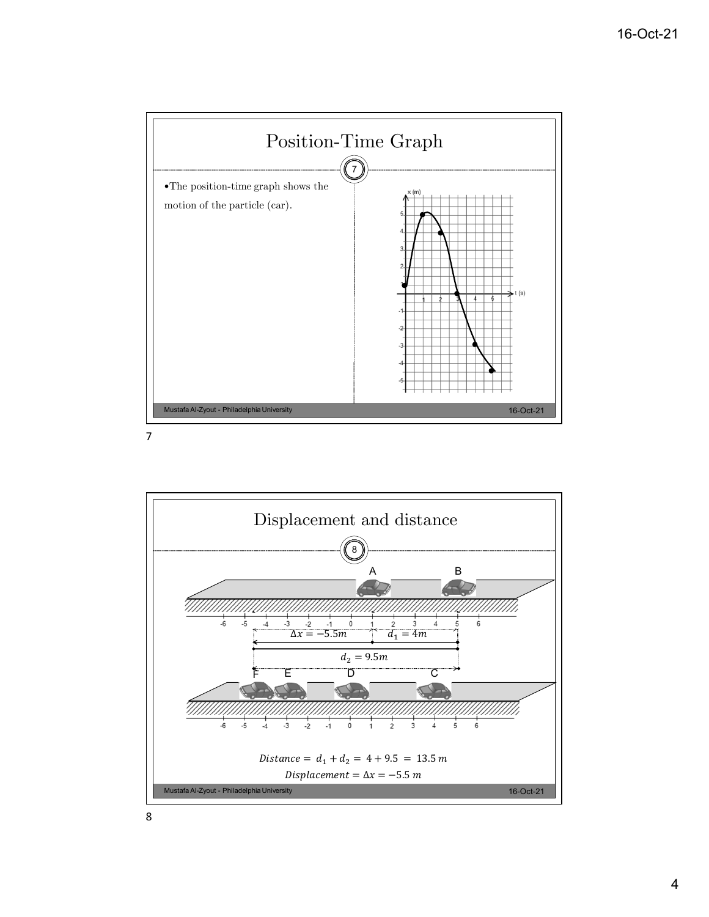



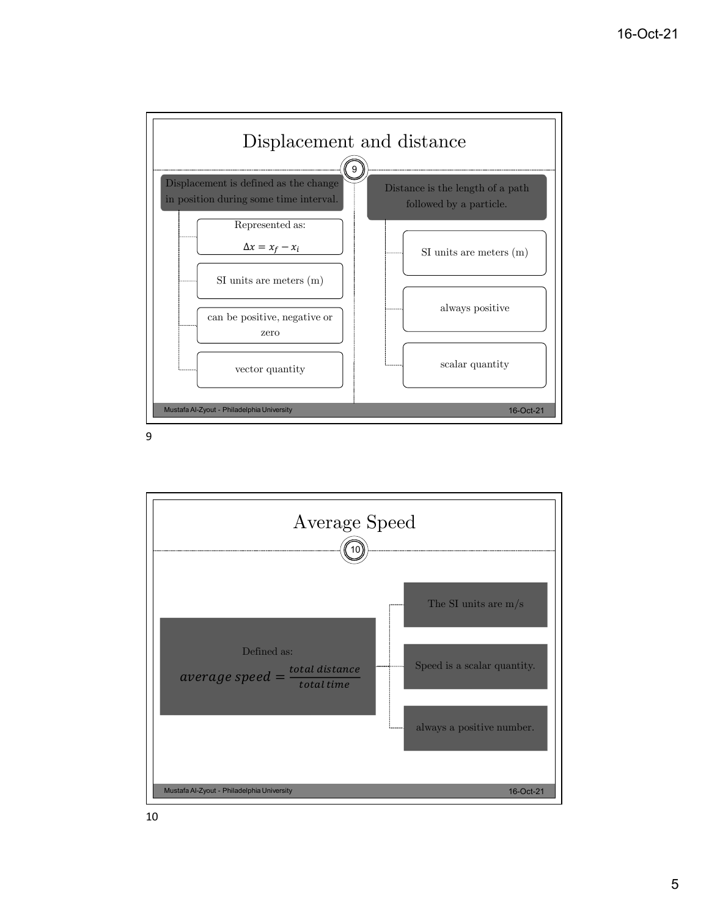

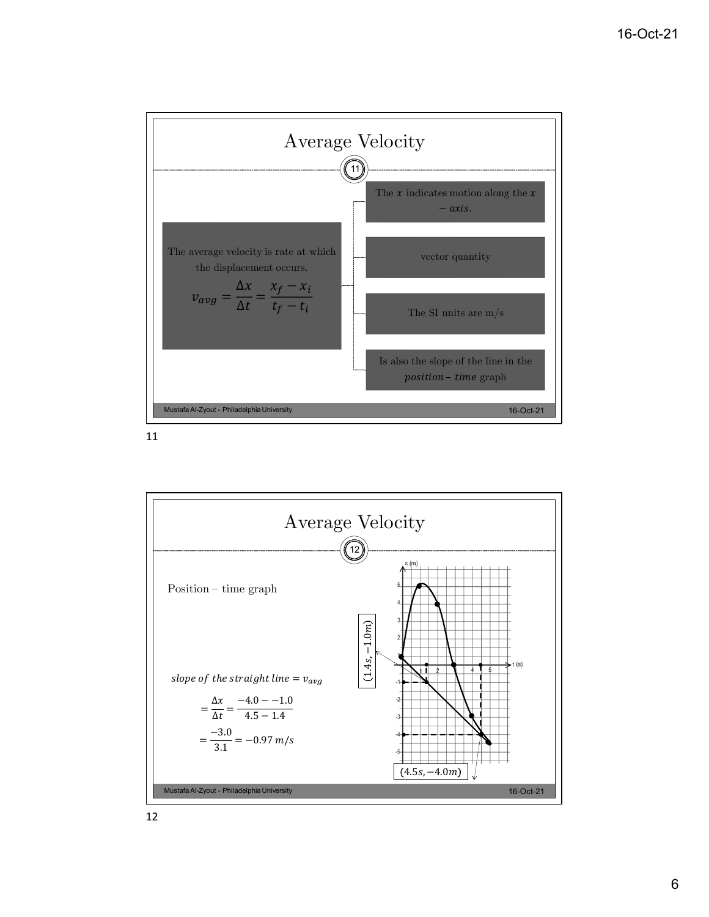

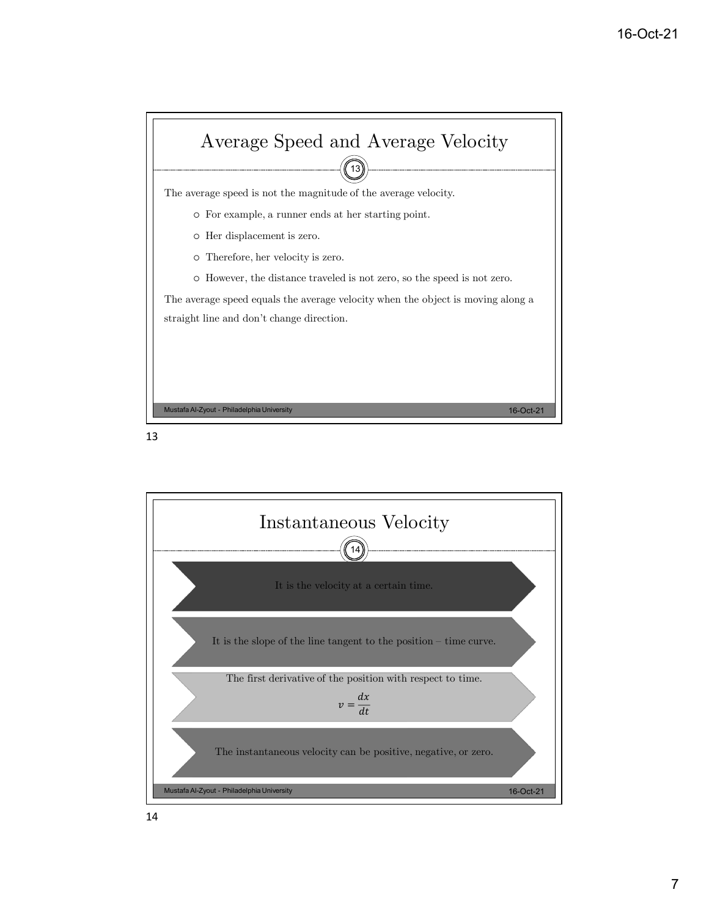



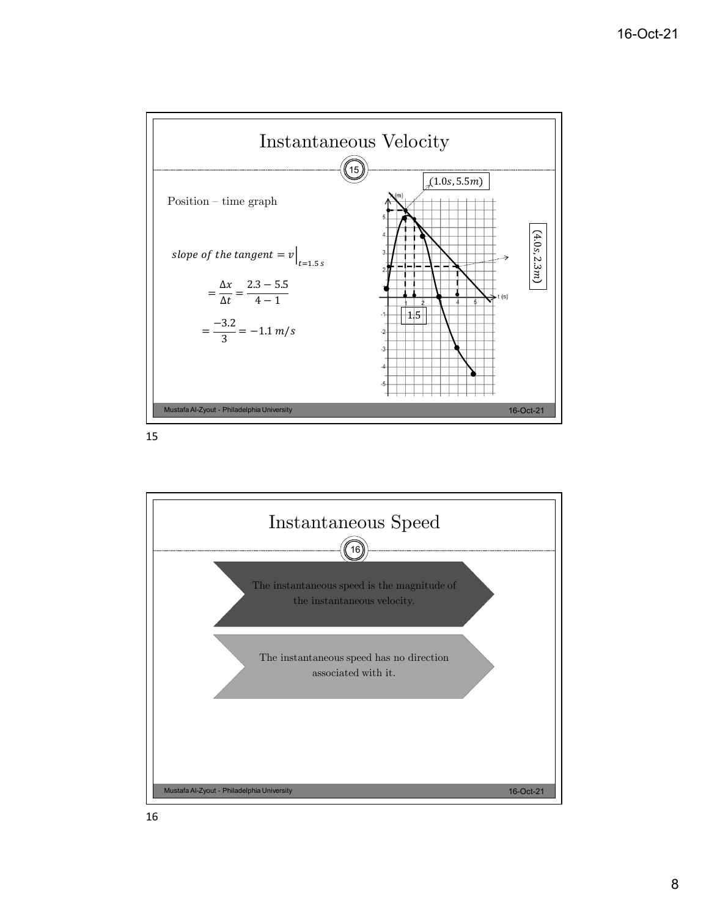

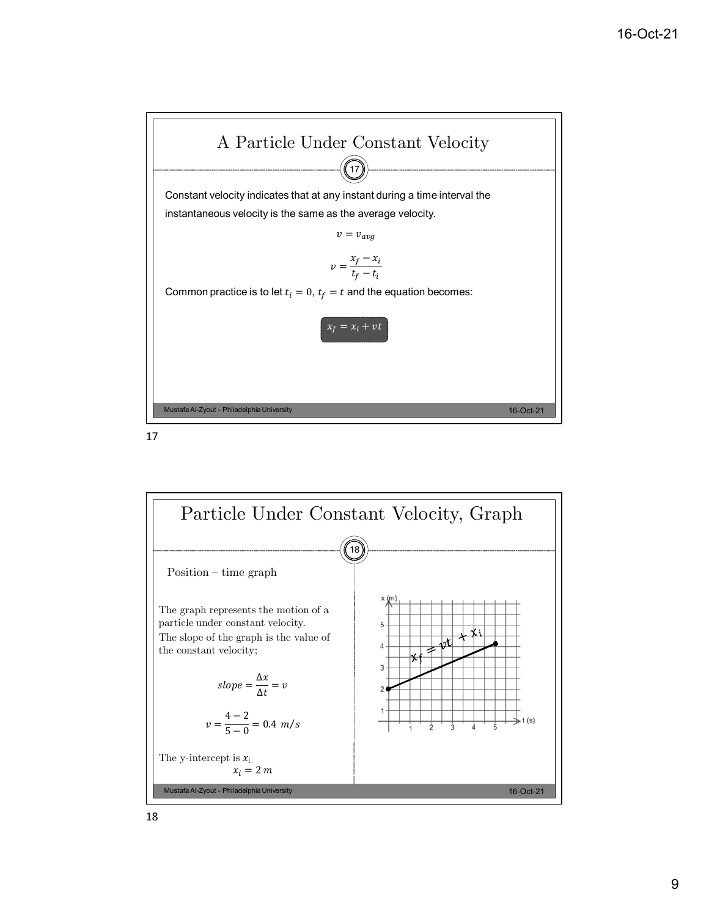

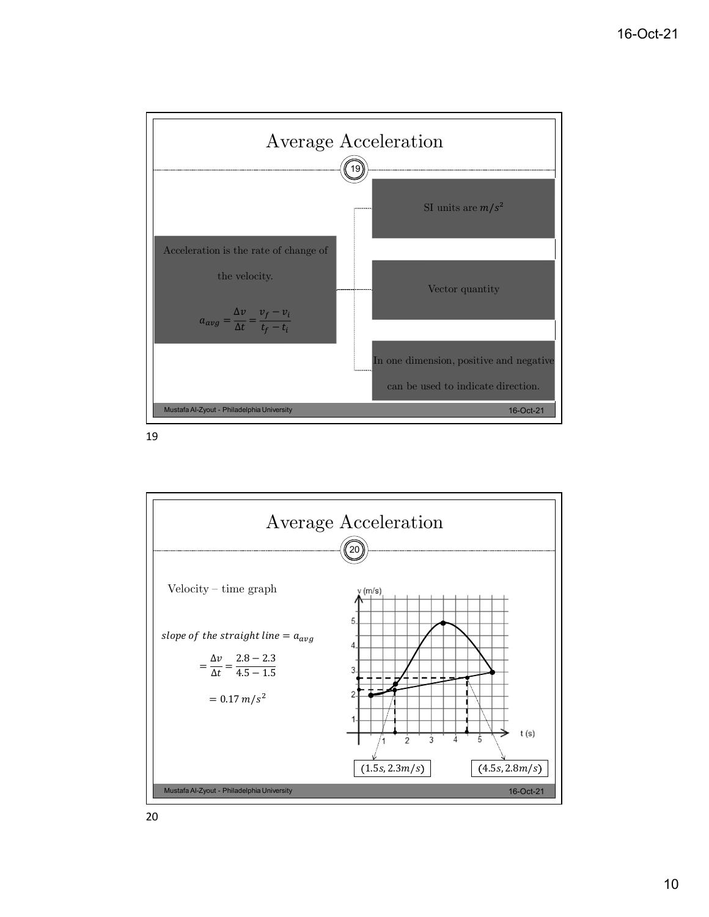

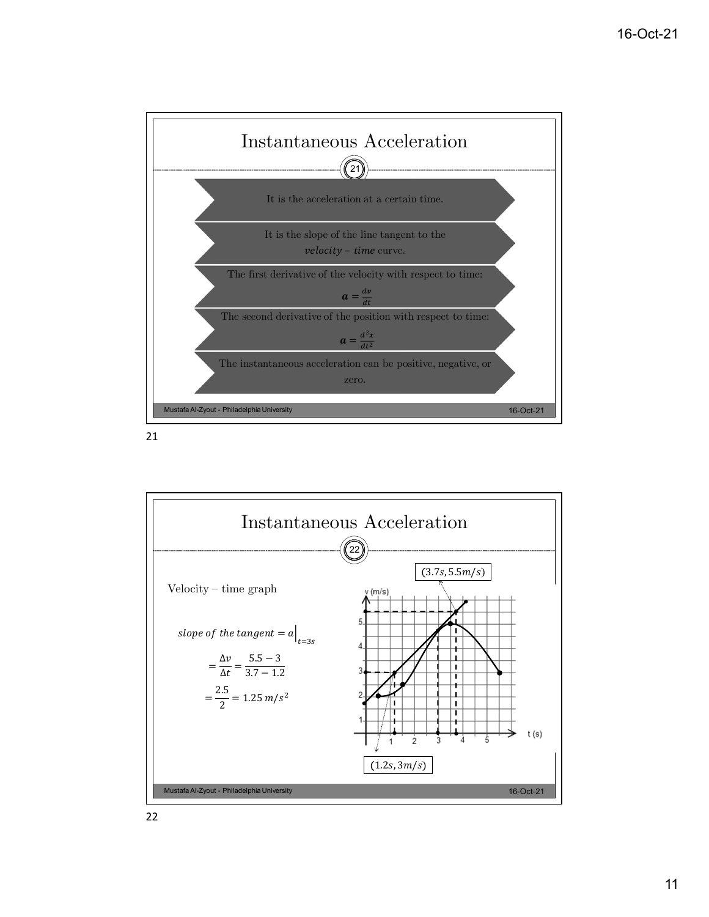

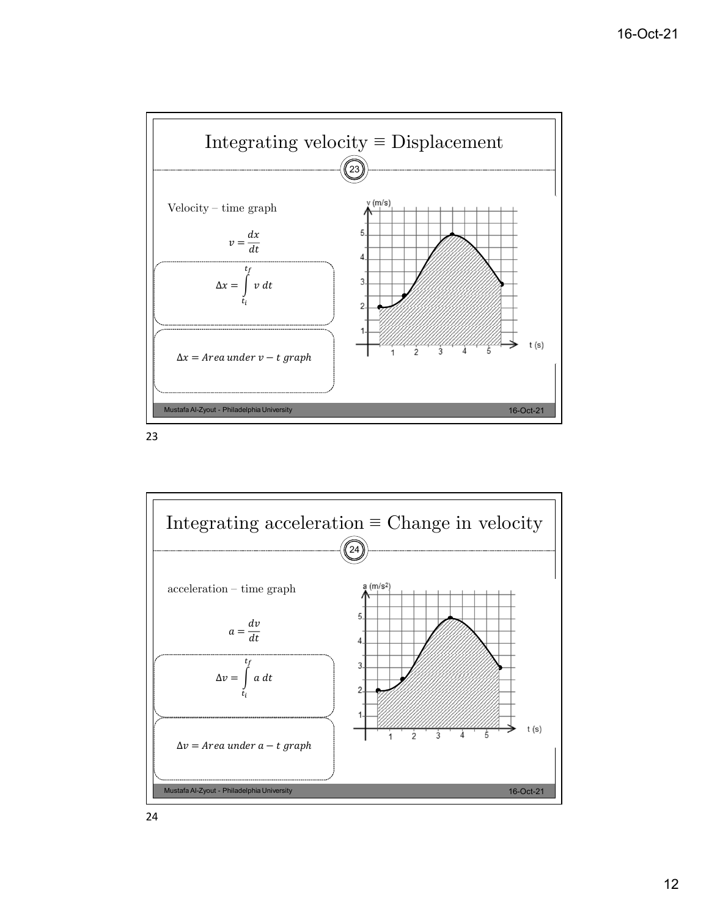

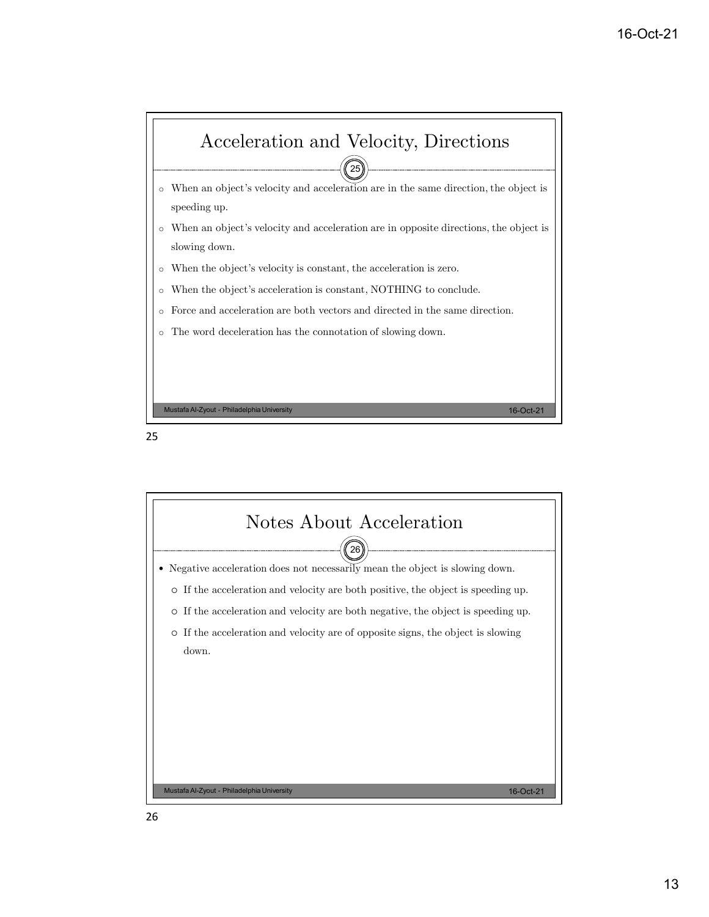



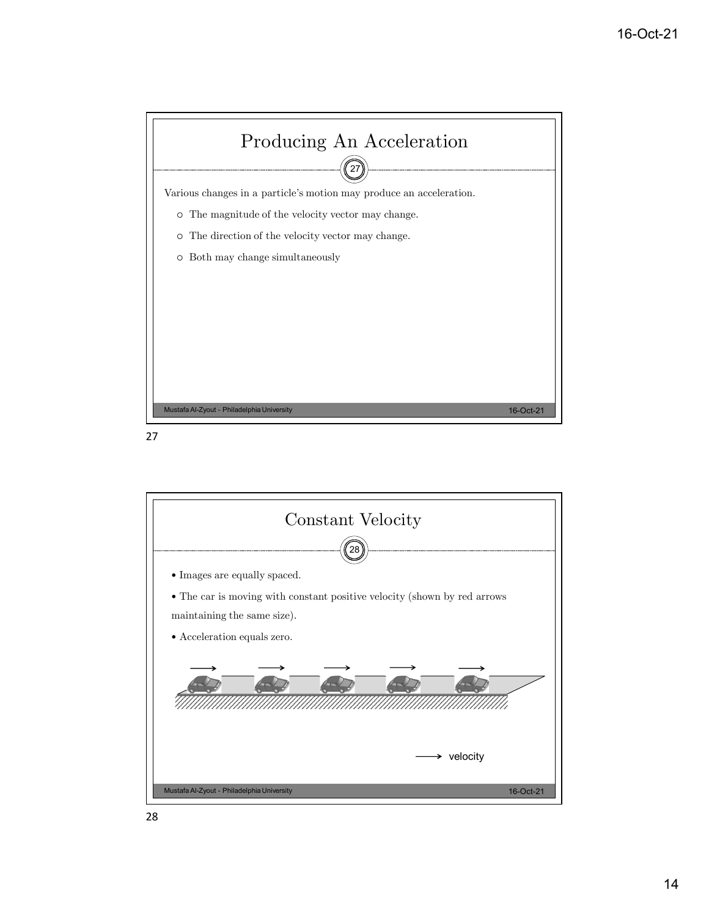



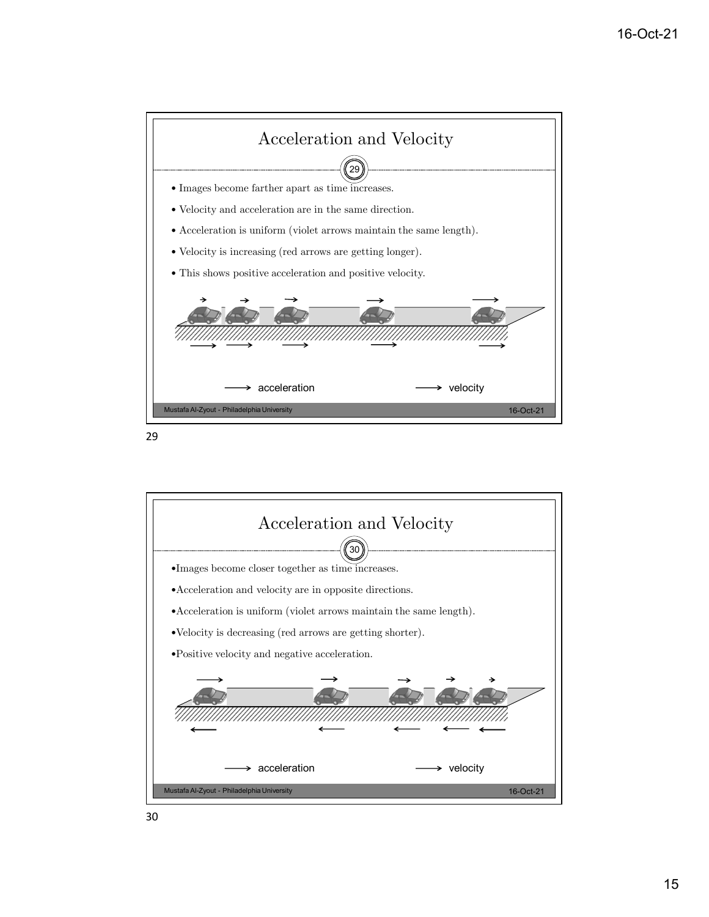

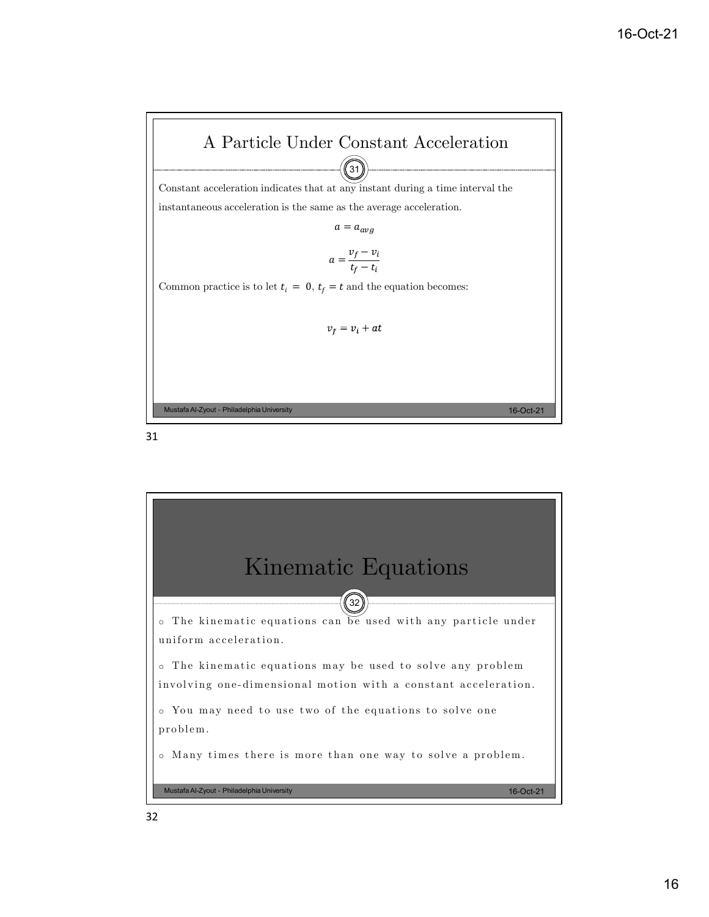

 $\widehat{31}$ 

Constant acceleration indicates that at any instant during a time interval the

instantaneous acceleration is the same as the average acceleration.

 $a = a_{avg}$ 

$$
a = \frac{v_f - v_i}{t_f - t_i}
$$

Common practice is to let  $t_i = 0$ ,  $t_f = t$  and the equation becomes:

$$
v_f = v_i + a_i
$$

Mustafa Al-Zyout - Philadelphia University 16-Oct-21

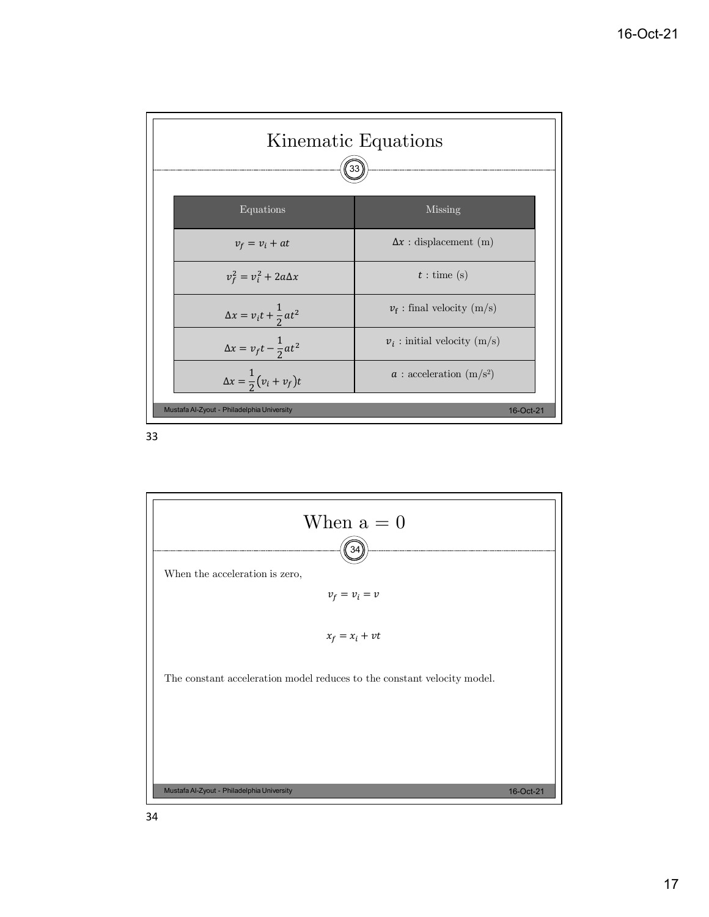

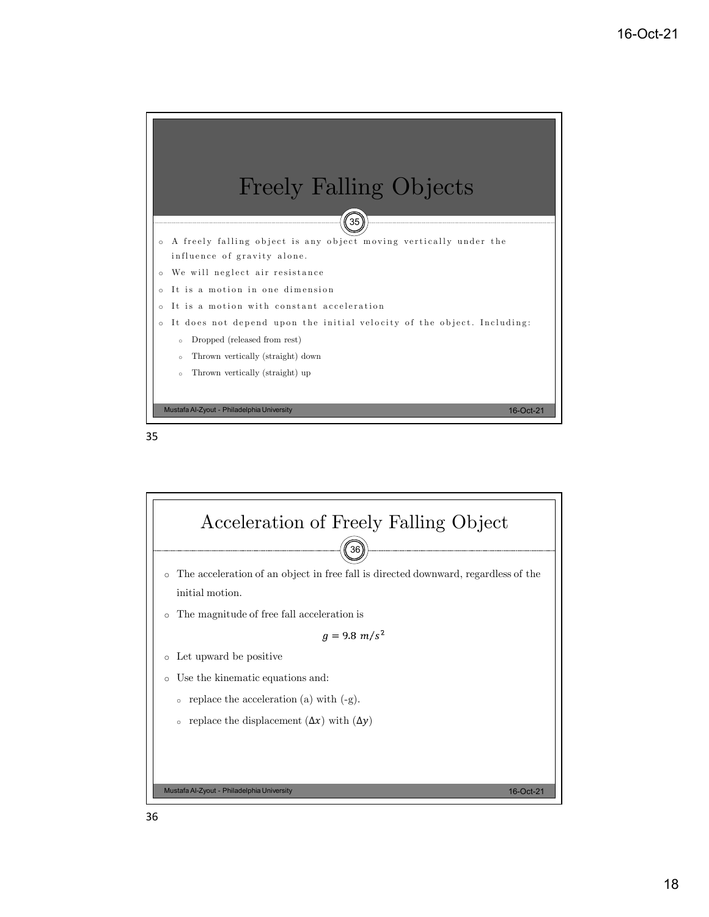



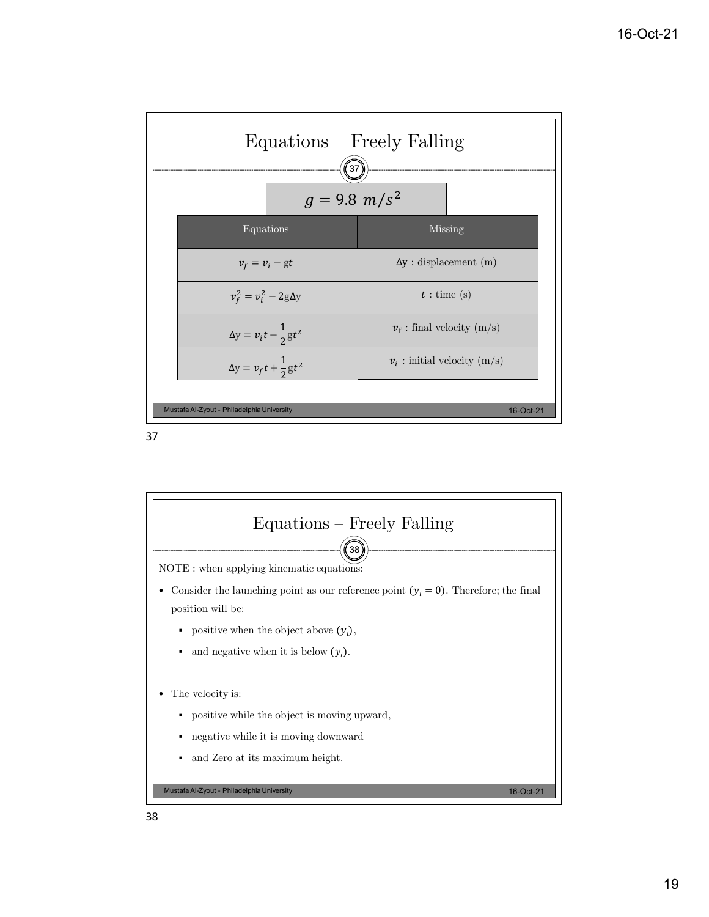| $Equations - Freely Falling$<br>37<br>$g = 9.8 \, m/s^2$ |                                    |
|----------------------------------------------------------|------------------------------------|
| Equations                                                | <b>Missing</b>                     |
| $v_f = v_i - gt$                                         | $\Delta y$ : displacement (m)      |
| $v_f^2 = v_i^2 - 2g\Delta y$                             | $t:$ time (s)                      |
| $\Delta y = v_i t - \frac{1}{2}gt^2$                     | $v_{\rm f}$ : final velocity (m/s) |
| $\Delta y = v_f t + \frac{1}{2}gt^2$                     | $v_i$ : initial velocity (m/s)     |
| Mustafa Al-Zyout - Philadelphia University<br>16-Oct-21  |                                    |